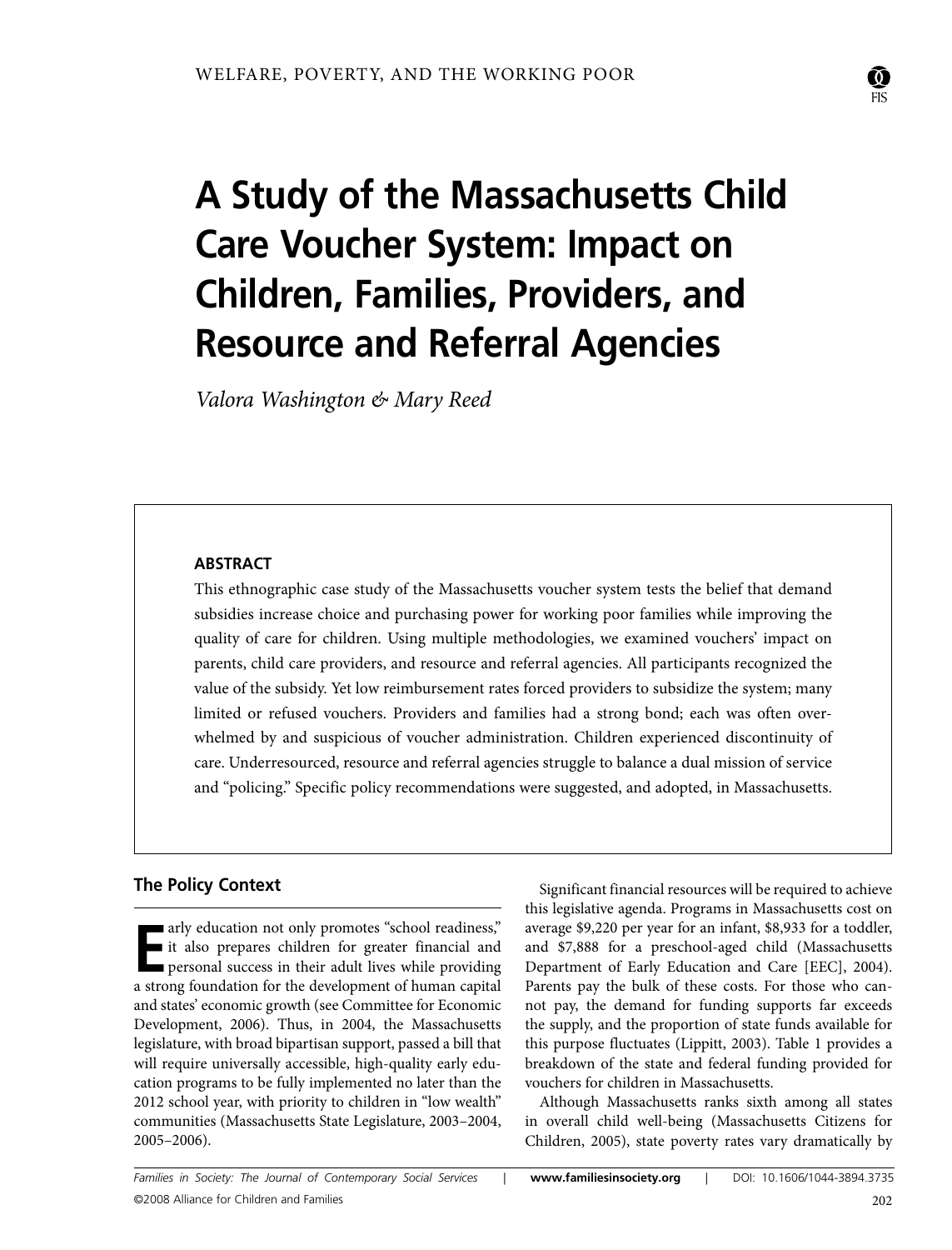# **A Study of the Massachusetts Child Care Voucher System: Impact on Children, Families, Providers, and Resource and Referral Agencies**

*Valora Washington & Mary Reed*

## **ABSTRACT**

This ethnographic case study of the Massachusetts voucher system tests the belief that demand subsidies increase choice and purchasing power for working poor families while improving the quality of care for children. Using multiple methodologies, we examined vouchers' impact on parents, child care providers, and resource and referral agencies. All participants recognized the value of the subsidy. Yet low reimbursement rates forced providers to subsidize the system; many limited or refused vouchers. Providers and families had a strong bond; each was often overwhelmed by and suspicious of voucher administration. Children experienced discontinuity of care. Underresourced, resource and referral agencies struggle to balance a dual mission of service and "policing." Specific policy recommendations were suggested, and adopted, in Massachusetts.

# **The Policy Context**

arly education not only promotes "school readiness,"<br>it also prepares children for greater financial and<br>personal success in their adult lives while providing<br>a strong foundation for the development of human capital arly education not only promotes "school readiness,"  $\blacksquare$  it also prepares children for greater financial and personal success in their adult lives while providing and states' economic growth (see Committee for Economic Development, 2006). Thus, in 2004, the Massachusetts legislature, with broad bipartisan support, passed a bill that will require universally accessible, high-quality early education programs to be fully implemented no later than the 2012 school year, with priority to children in "low wealth" communities (Massachusetts State Legislature, 2003–2004, 2005–2006).

Significant financial resources will be required to achieve this legislative agenda. Programs in Massachusetts cost on average \$9,220 per year for an infant, \$8,933 for a toddler, and \$7,888 for a preschool-aged child (Massachusetts Department of Early Education and Care [EEC], 2004). Parents pay the bulk of these costs. For those who cannot pay, the demand for funding supports far exceeds the supply, and the proportion of state funds available for this purpose fluctuates (Lippitt, 2003). Table 1 provides a breakdown of the state and federal funding provided for vouchers for children in Massachusetts.

Although Massachusetts ranks sixth among all states in overall child well-being (Massachusetts Citizens for Children, 2005), state poverty rates vary dramatically by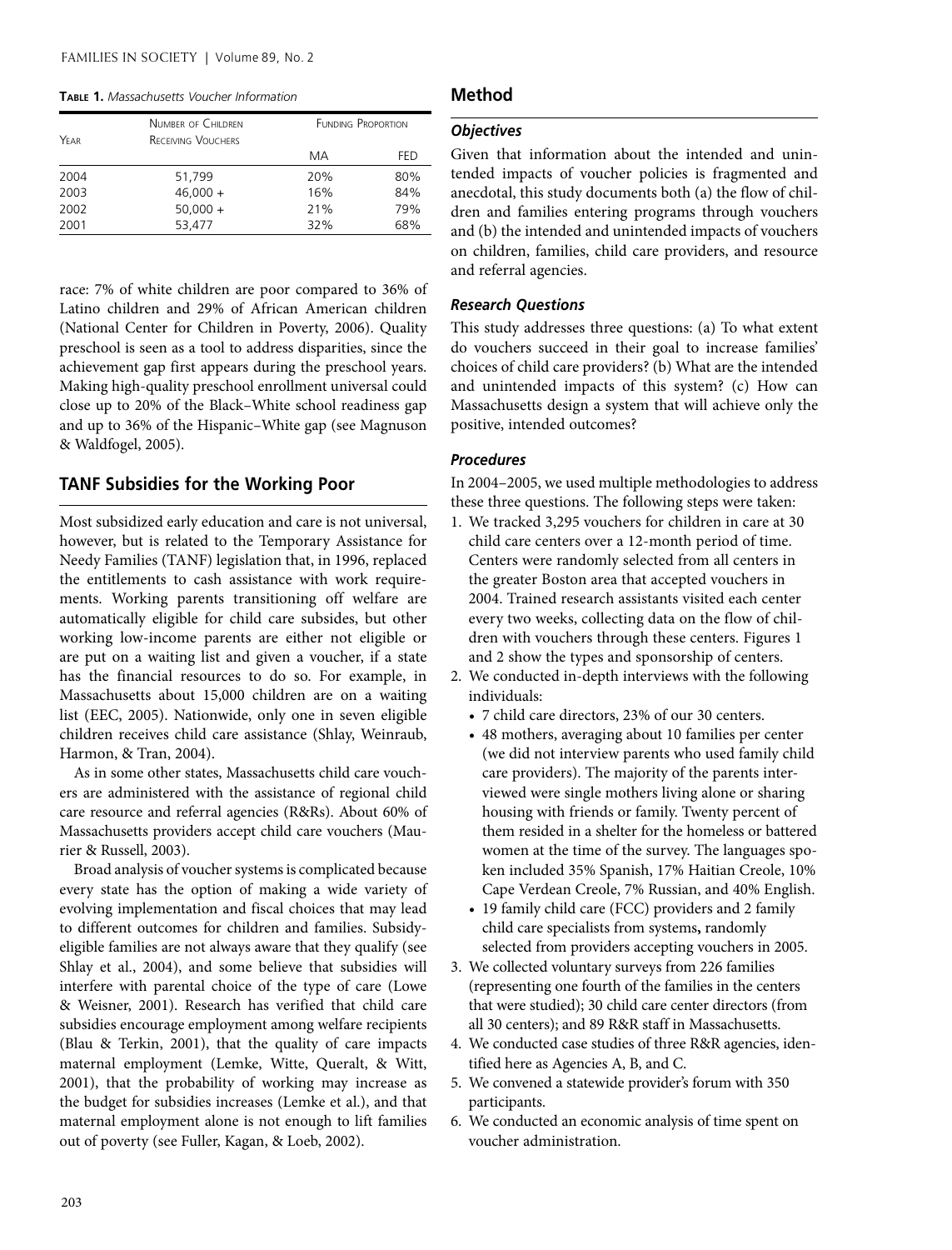**Table 1.** *Massachusetts Voucher Information*

| YFAR | NUMBER OF CHILDREN<br><b>RECEIVING VOUCHERS</b> | <b>FUNDING PROPORTION</b> |     |
|------|-------------------------------------------------|---------------------------|-----|
|      |                                                 | МA                        | FED |
| 2004 | 51,799                                          | 20%                       | 80% |
| 2003 | $46,000 +$                                      | 16%                       | 84% |
| 2002 | $50,000 +$                                      | 21%                       | 79% |
| 2001 | 53.477                                          | 32%                       | 68% |

race: 7% of white children are poor compared to 36% of Latino children and 29% of African American children (National Center for Children in Poverty, 2006). Quality preschool is seen as a tool to address disparities, since the achievement gap first appears during the preschool years. Making high-quality preschool enrollment universal could close up to 20% of the Black–White school readiness gap and up to 36% of the Hispanic–White gap (see Magnuson & Waldfogel, 2005).

# **TANF Subsidies for the Working Poor**

Most subsidized early education and care is not universal, however, but is related to the Temporary Assistance for Needy Families (TANF) legislation that, in 1996, replaced the entitlements to cash assistance with work requirements. Working parents transitioning off welfare are automatically eligible for child care subsides, but other working low-income parents are either not eligible or are put on a waiting list and given a voucher, if a state has the financial resources to do so. For example, in Massachusetts about 15,000 children are on a waiting list (EEC, 2005). Nationwide, only one in seven eligible children receives child care assistance (Shlay, Weinraub, Harmon, & Tran, 2004).

As in some other states, Massachusetts child care vouchers are administered with the assistance of regional child care resource and referral agencies (R&Rs). About 60% of Massachusetts providers accept child care vouchers (Maurier & Russell, 2003).

Broad analysis of voucher systems is complicated because every state has the option of making a wide variety of evolving implementation and fiscal choices that may lead to different outcomes for children and families. Subsidyeligible families are not always aware that they qualify (see Shlay et al., 2004), and some believe that subsidies will interfere with parental choice of the type of care (Lowe & Weisner, 2001). Research has verified that child care subsidies encourage employment among welfare recipients (Blau & Terkin, 2001), that the quality of care impacts maternal employment (Lemke, Witte, Queralt, & Witt, 2001), that the probability of working may increase as the budget for subsidies increases (Lemke et al.), and that maternal employment alone is not enough to lift families out of poverty (see Fuller, Kagan, & Loeb, 2002).

## **Method**

## *Objectives*

Given that information about the intended and unintended impacts of voucher policies is fragmented and anecdotal, this study documents both (a) the flow of children and families entering programs through vouchers and (b) the intended and unintended impacts of vouchers on children, families, child care providers, and resource and referral agencies.

## *Research Questions*

This study addresses three questions: (a) To what extent do vouchers succeed in their goal to increase families' choices of child care providers? (b) What are the intended and unintended impacts of this system? (c) How can Massachusetts design a system that will achieve only the positive, intended outcomes?

## *Procedures*

In 2004–2005, we used multiple methodologies to address these three questions. The following steps were taken:

- 1. We tracked 3,295 vouchers for children in care at 30 child care centers over a 12-month period of time. Centers were randomly selected from all centers in the greater Boston area that accepted vouchers in 2004. Trained research assistants visited each center every two weeks, collecting data on the flow of children with vouchers through these centers. Figures 1 and 2 show the types and sponsorship of centers.
- 2. We conducted in-depth interviews with the following individuals:
	- • 7 child care directors, 23% of our 30 centers.
	- • 48 mothers, averaging about 10 families per center (we did not interview parents who used family child care providers). The majority of the parents interviewed were single mothers living alone or sharing housing with friends or family. Twenty percent of them resided in a shelter for the homeless or battered women at the time of the survey. The languages spoken included 35% Spanish, 17% Haitian Creole, 10% Cape Verdean Creole, 7% Russian, and 40% English.
	- • 19 family child care (FCC) providers and 2 family child care specialists from systems**,** randomly selected from providers accepting vouchers in 2005.
- 3. We collected voluntary surveys from 226 families (representing one fourth of the families in the centers that were studied); 30 child care center directors (from all 30 centers); and 89 R&R staff in Massachusetts.
- 4. We conducted case studies of three R&R agencies, identified here as Agencies A, B, and C.
- 5. We convened a statewide provider's forum with 350 participants.
- 6. We conducted an economic analysis of time spent on voucher administration.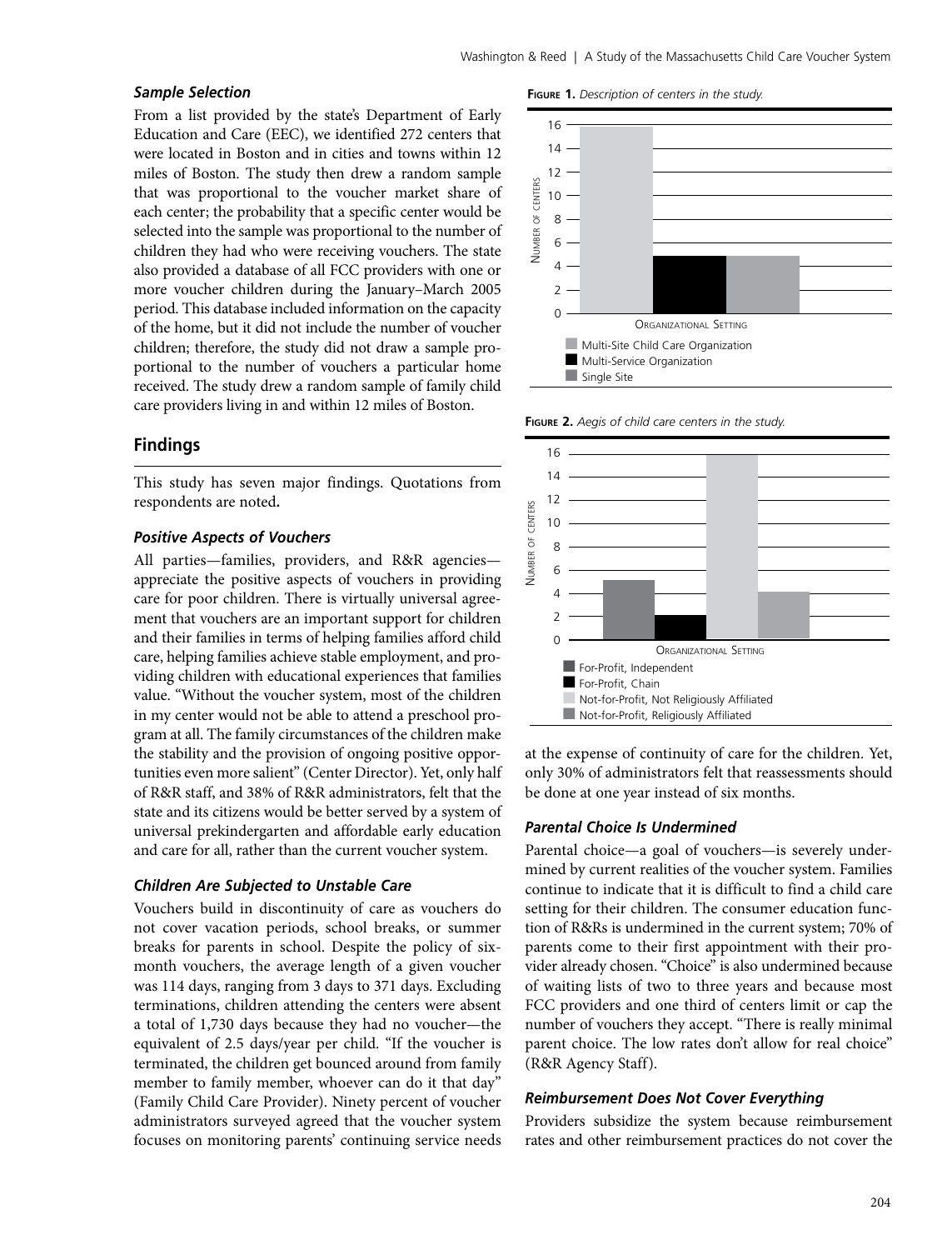#### *Sample Selection*

From a list provided by the state's Department of Early Education and Care (EEC), we identified 272 centers that were located in Boston and in cities and towns within 12 miles of Boston. The study then drew a random sample that was proportional to the voucher market share of each center; the probability that a specific center would be selected into the sample was proportional to the number of children they had who were receiving vouchers. The state also provided a database of all FCC providers with one or more voucher children during the January–March 2005 period. This database included information on the capacity of the home, but it did not include the number of voucher children; therefore, the study did not draw a sample proportional to the number of vouchers a particular home received. The study drew a random sample of family child care providers living in and within 12 miles of Boston.

## **Findings**

This study has seven major findings. Quotations from respondents are noted**.** 

#### *Positive Aspects of Vouchers*

All parties—families, providers, and R&R agencies appreciate the positive aspects of vouchers in providing care for poor children. There is virtually universal agreement that vouchers are an important support for children and their families in terms of helping families afford child care, helping families achieve stable employment, and providing children with educational experiences that families value. "Without the voucher system, most of the children in my center would not be able to attend a preschool program at all. The family circumstances of the children make the stability and the provision of ongoing positive opportunities even more salient" (Center Director). Yet, only half of R&R staff, and 38% of R&R administrators, felt that the state and its citizens would be better served by a system of universal prekindergarten and affordable early education and care for all, rather than the current voucher system.

#### *Children Are Subjected to Unstable Care*

Vouchers build in discontinuity of care as vouchers do not cover vacation periods, school breaks, or summer breaks for parents in school. Despite the policy of sixmonth vouchers, the average length of a given voucher was 114 days, ranging from 3 days to 371 days. Excluding terminations, children attending the centers were absent a total of 1,730 days because they had no voucher—the equivalent of 2.5 days/year per child. "If the voucher is terminated, the children get bounced around from family member to family member, whoever can do it that day" (Family Child Care Provider). Ninety percent of voucher administrators surveyed agreed that the voucher system focuses on monitoring parents' continuing service needs

**Figure 1.** *Description of centers in the study.*



**Figure 2.** *Aegis of child care centers in the study.*



at the expense of continuity of care for the children. Yet, only 30% of administrators felt that reassessments should be done at one year instead of six months.

#### *Parental Choice Is Undermined*

Parental choice—a goal of vouchers—is severely undermined by current realities of the voucher system. Families continue to indicate that it is difficult to find a child care setting for their children. The consumer education function of R&Rs is undermined in the current system; 70% of parents come to their first appointment with their provider already chosen. "Choice" is also undermined because of waiting lists of two to three years and because most FCC providers and one third of centers limit or cap the number of vouchers they accept. "There is really minimal parent choice. The low rates don't allow for real choice" (R&R Agency Staff).

#### *Reimbursement Does Not Cover Everything*

Providers subsidize the system because reimbursement rates and other reimbursement practices do not cover the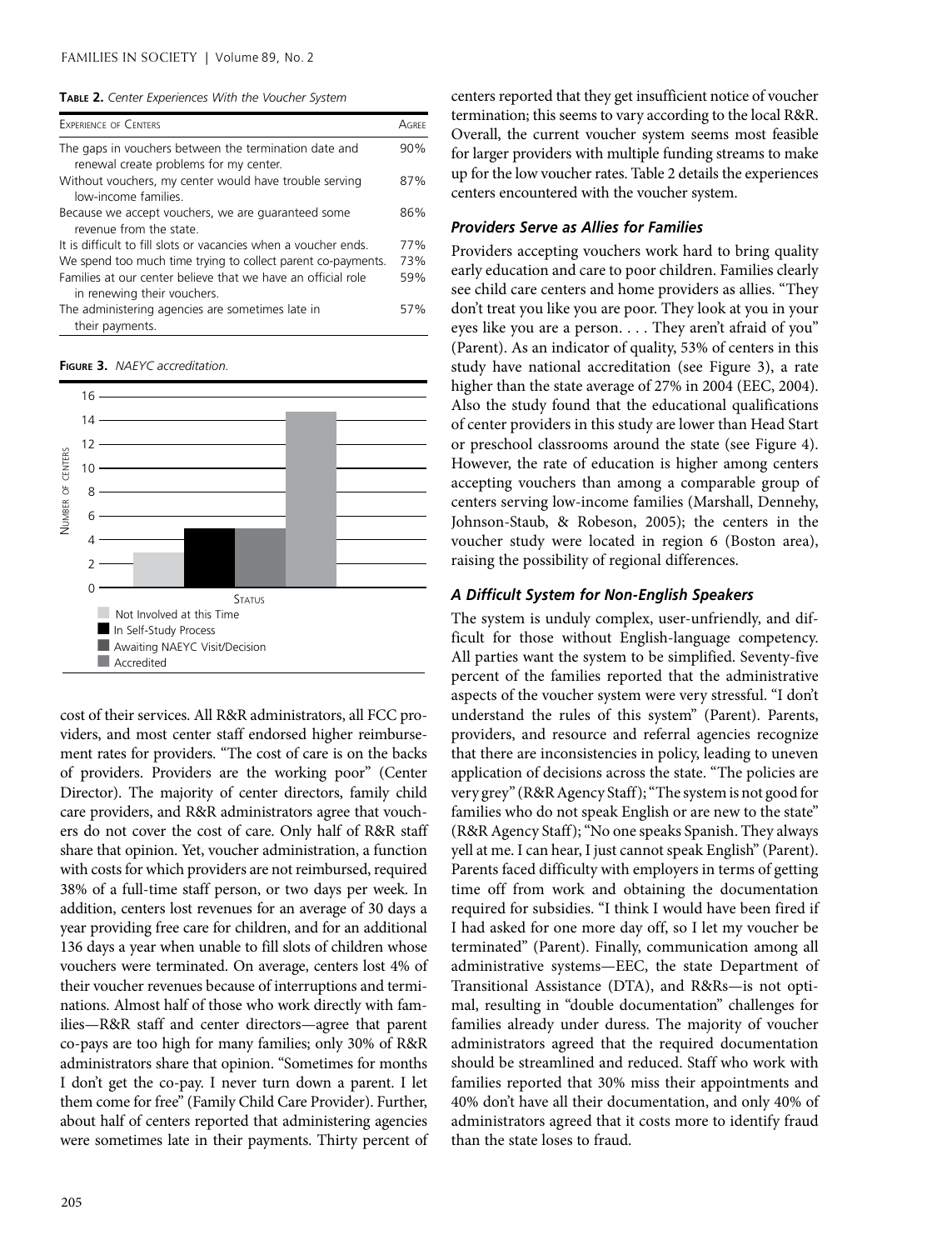**Table 2.** *Center Experiences With the Voucher System*

| <b>EXPERIENCE OF CENTERS</b>                                                                    | AGREE |
|-------------------------------------------------------------------------------------------------|-------|
| The gaps in vouchers between the termination date and<br>renewal create problems for my center. | 90%   |
| Without vouchers, my center would have trouble serving<br>low-income families                   | 87%   |
| Because we accept vouchers, we are quaranteed some<br>revenue from the state                    | 86%   |
| It is difficult to fill slots or vacancies when a voucher ends.                                 | 77%   |
| We spend too much time trying to collect parent co-payments.                                    | 73%   |
| Families at our center believe that we have an official role<br>in renewing their vouchers.     | 59%   |
| The administering agencies are sometimes late in<br>their payments.                             | 57%   |

**Figure 3.** *NAEYC accreditation.* 



cost of their services. All R&R administrators, all FCC providers, and most center staff endorsed higher reimbursement rates for providers. "The cost of care is on the backs of providers. Providers are the working poor" (Center Director). The majority of center directors, family child care providers, and R&R administrators agree that vouchers do not cover the cost of care. Only half of R&R staff share that opinion. Yet, voucher administration, a function with costs for which providers are not reimbursed, required 38% of a full-time staff person, or two days per week. In addition, centers lost revenues for an average of 30 days a year providing free care for children, and for an additional 136 days a year when unable to fill slots of children whose vouchers were terminated. On average, centers lost 4% of their voucher revenues because of interruptions and terminations. Almost half of those who work directly with families—R&R staff and center directors—agree that parent co-pays are too high for many families; only 30% of R&R administrators share that opinion. "Sometimes for months I don't get the co-pay. I never turn down a parent. I let them come for free" (Family Child Care Provider). Further, about half of centers reported that administering agencies were sometimes late in their payments. Thirty percent of centers reported that they get insufficient notice of voucher termination; this seems to vary according to the local R&R. Overall, the current voucher system seems most feasible for larger providers with multiple funding streams to make up for the low voucher rates. Table 2 details the experiences centers encountered with the voucher system.

#### *Providers Serve as Allies for Families*

Providers accepting vouchers work hard to bring quality early education and care to poor children. Families clearly see child care centers and home providers as allies. "They don't treat you like you are poor. They look at you in your eyes like you are a person. . . . They aren't afraid of you" (Parent). As an indicator of quality, 53% of centers in this study have national accreditation (see Figure 3), a rate higher than the state average of 27% in 2004 (EEC, 2004). Also the study found that the educational qualifications of center providers in this study are lower than Head Start or preschool classrooms around the state (see Figure 4). However, the rate of education is higher among centers accepting vouchers than among a comparable group of centers serving low-income families (Marshall, Dennehy, Johnson-Staub, & Robeson, 2005); the centers in the voucher study were located in region 6 (Boston area), raising the possibility of regional differences.

#### *A Difficult System for Non-English Speakers*

The system is unduly complex, user-unfriendly, and difficult for those without English-language competency. All parties want the system to be simplified. Seventy-five percent of the families reported that the administrative aspects of the voucher system were very stressful. "I don't understand the rules of this system" (Parent). Parents, providers, and resource and referral agencies recognize that there are inconsistencies in policy, leading to uneven application of decisions across the state. "The policies are very grey" (R&R Agency Staff); "The system is not good for families who do not speak English or are new to the state" (R&R Agency Staff); "No one speaks Spanish. They always yell at me. I can hear, I just cannot speak English" (Parent). Parents faced difficulty with employers in terms of getting time off from work and obtaining the documentation required for subsidies. "I think I would have been fired if I had asked for one more day off, so I let my voucher be terminated" (Parent). Finally, communication among all administrative systems—EEC, the state Department of Transitional Assistance (DTA), and R&Rs—is not optimal, resulting in "double documentation" challenges for families already under duress. The majority of voucher administrators agreed that the required documentation should be streamlined and reduced. Staff who work with families reported that 30% miss their appointments and 40% don't have all their documentation, and only 40% of administrators agreed that it costs more to identify fraud than the state loses to fraud.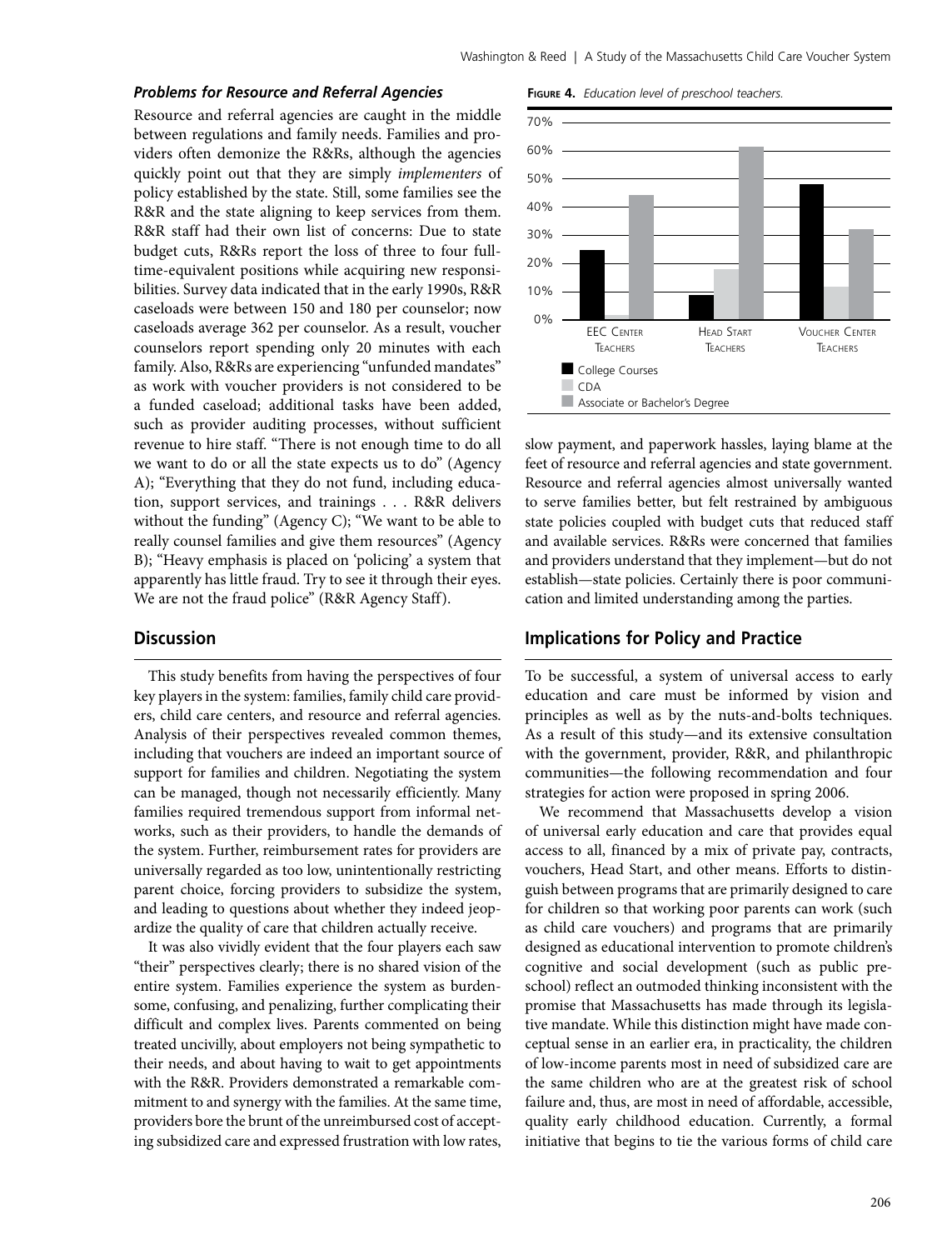#### *Problems for Resource and Referral Agencies*

Resource and referral agencies are caught in the middle between regulations and family needs. Families and providers often demonize the R&Rs, although the agencies quickly point out that they are simply *implementers* of policy established by the state. Still, some families see the R&R and the state aligning to keep services from them. R&R staff had their own list of concerns: Due to state budget cuts, R&Rs report the loss of three to four fulltime-equivalent positions while acquiring new responsibilities. Survey data indicated that in the early 1990s, R&R caseloads were between 150 and 180 per counselor; now caseloads average 362 per counselor. As a result, voucher counselors report spending only 20 minutes with each family. Also, R&Rs are experiencing "unfunded mandates" as work with voucher providers is not considered to be a funded caseload; additional tasks have been added, such as provider auditing processes, without sufficient revenue to hire staff. "There is not enough time to do all we want to do or all the state expects us to do" (Agency A); "Everything that they do not fund, including education, support services, and trainings . . . R&R delivers without the funding" (Agency C); "We want to be able to really counsel families and give them resources" (Agency B); "Heavy emphasis is placed on 'policing' a system that apparently has little fraud. Try to see it through their eyes. We are not the fraud police" (R&R Agency Staff).

#### **Discussion**

This study benefits from having the perspectives of four key players in the system: families, family child care providers, child care centers, and resource and referral agencies. Analysis of their perspectives revealed common themes, including that vouchers are indeed an important source of support for families and children. Negotiating the system can be managed, though not necessarily efficiently. Many families required tremendous support from informal networks, such as their providers, to handle the demands of the system. Further, reimbursement rates for providers are universally regarded as too low, unintentionally restricting parent choice, forcing providers to subsidize the system, and leading to questions about whether they indeed jeopardize the quality of care that children actually receive.

It was also vividly evident that the four players each saw "their" perspectives clearly; there is no shared vision of the entire system. Families experience the system as burdensome, confusing, and penalizing, further complicating their difficult and complex lives. Parents commented on being treated uncivilly, about employers not being sympathetic to their needs, and about having to wait to get appointments with the R&R. Providers demonstrated a remarkable commitment to and synergy with the families. At the same time, providers bore the brunt of the unreimbursed cost of accepting subsidized care and expressed frustration with low rates,

**Figure 4.** *Education level of preschool teachers.*



slow payment, and paperwork hassles, laying blame at the feet of resource and referral agencies and state government. Resource and referral agencies almost universally wanted to serve families better, but felt restrained by ambiguous state policies coupled with budget cuts that reduced staff and available services. R&Rs were concerned that families and providers understand that they implement—but do not establish—state policies. Certainly there is poor communication and limited understanding among the parties.

## **Implications for Policy and Practice**

To be successful, a system of universal access to early education and care must be informed by vision and principles as well as by the nuts-and-bolts techniques. As a result of this study—and its extensive consultation with the government, provider, R&R, and philanthropic communities—the following recommendation and four strategies for action were proposed in spring 2006.

We recommend that Massachusetts develop a vision of universal early education and care that provides equal access to all, financed by a mix of private pay, contracts, vouchers, Head Start, and other means. Efforts to distinguish between programs that are primarily designed to care for children so that working poor parents can work (such as child care vouchers) and programs that are primarily designed as educational intervention to promote children's cognitive and social development (such as public preschool) reflect an outmoded thinking inconsistent with the promise that Massachusetts has made through its legislative mandate. While this distinction might have made conceptual sense in an earlier era, in practicality, the children of low-income parents most in need of subsidized care are the same children who are at the greatest risk of school failure and, thus, are most in need of affordable, accessible, quality early childhood education. Currently, a formal initiative that begins to tie the various forms of child care